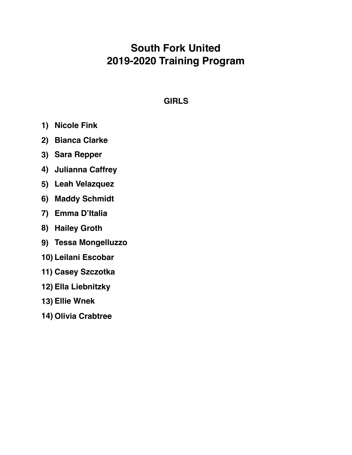# **South Fork United 2019-2020 Training Program**

## **GIRLS**

- **1) Nicole Fink**
- **2) Bianca Clarke**
- **3) Sara Repper**
- **4) Julianna Caffrey**
- **5) Leah Velazquez**
- **6) Maddy Schmidt**
- **7) Emma D'Italia**
- **8) Hailey Groth**
- **9) Tessa Mongelluzzo**
- **10) Leilani Escobar**
- **11) Casey Szczotka**
- **12) Ella Liebnitzky**
- **13) Ellie Wnek**
- **14) Olivia Crabtree**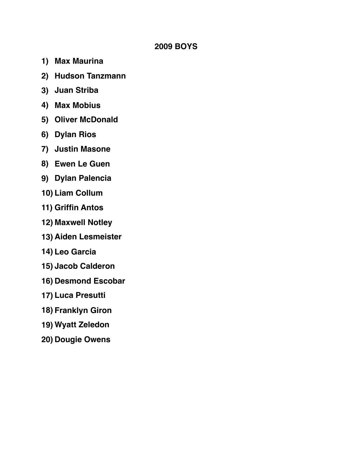### **2009 BOYS**

- **1) Max Maurina**
- **2) Hudson Tanzmann**
- **3) Juan Striba**
- **4) Max Mobius**
- **5) Oliver McDonald**
- **6) Dylan Rios**
- **7) Justin Masone**
- **8) Ewen Le Guen**
- **9) Dylan Palencia**
- **10) Liam Collum**
- **11) Griffin Antos**
- **12) Maxwell Notley**
- **13) Aiden Lesmeister**
- **14) Leo Garcia**
- **15) Jacob Calderon**
- **16) Desmond Escobar**
- **17) Luca Presutti**
- **18) Franklyn Giron**
- **19) Wyatt Zeledon**
- **20) Dougie Owens**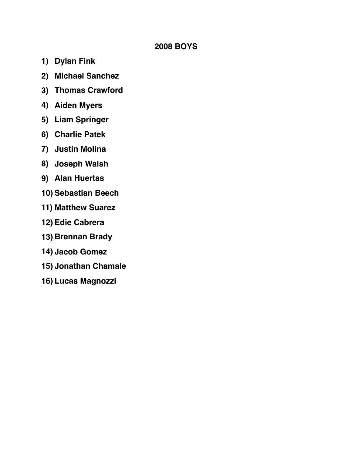### **2008 BOYS**

- **1) Dylan Fink**
- **2) Michael Sanchez**
- **3) Thomas Crawford**
- **4) Aiden Myers**
- **5) Liam Springer**
- **6) Charlie Patek**
- **7) Justin Molina**
- **8) Joseph Walsh**
- **9) Alan Huertas**
- **10) Sebastian Beech**
- **11) Matthew Suarez**
- **12) Edie Cabrera**
- **13) Brennan Brady**
- **14) Jacob Gomez**
- **15) Jonathan Chamale**
- **16) Lucas Magnozzi**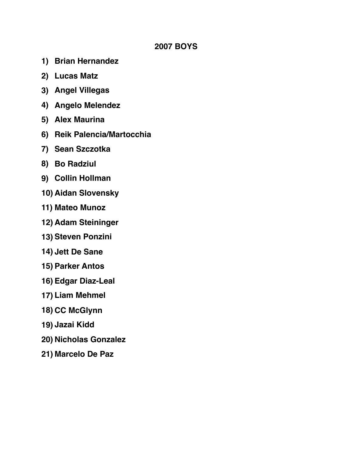#### **2007 BOYS**

- **1) Brian Hernandez**
- **2) Lucas Matz**
- **3) Angel Villegas**
- **4) Angelo Melendez**
- **5) Alex Maurina**
- **6) Reik Palencia/Martocchia**
- **7) Sean Szczotka**
- **8) Bo Radziul**
- **9) Collin Hollman**
- **10) Aidan Slovensky**
- **11) Mateo Munoz**
- **12) Adam Steininger**
- **13) Steven Ponzini**
- **14) Jett De Sane**
- **15) Parker Antos**
- **16) Edgar Diaz-Leal**
- **17) Liam Mehmel**
- **18) CC McGlynn**
- **19) Jazai Kidd**
- **20) Nicholas Gonzalez**
- **21) Marcelo De Paz**